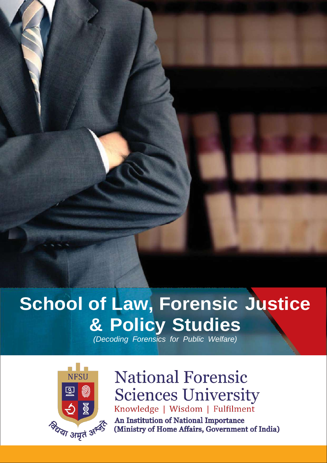## **School of Law, Forensic Justice & Policy Studies**

*(Decoding Forensics for Public Welfare)*



## **National Forensic Sciences University** Knowledge | Wisdom | Fulfilment

An Institution of National Importance (Ministry of Home Affairs, Government of India)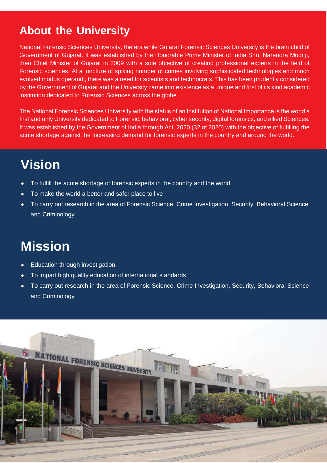## **About the University**

National Forensic Sciences University, the erstwhile Gujarat Forensic Sciences University is the brain child of Government of Gujarat. It was established by the Honorable Prime Minister of India Shri. Narendra Modi ji, then Chief Minister of Gujarat in 2009 with a sole objective of creating professional experts in the field of Forensic sciences. At a juncture of spiking number of crimes involving sophisticated technologies and much evolved modus operandi, there was a need for scientists and technocrats. This has been prudently considered by the Government of Gujarat and the University came into existence as a unique and first of its kind academic institution dedicated to Forensic Sciences across the globe.

The National Forensic Sciences University with the status of an Institution of National Importance is the world's first and only University dedicated to Forensic, behavioral, cyber security, digital forensics, and allied Sciences. It was established by the Government of India through Act, 2020 (32 of 2020) with the objective of fulfilling the acute shortage against the increasing demand for forensic experts in the country and around the world.

## **Vision**

- To fulfill the acute shortage of forensic experts in the country and the world
- To make the world a better and safer place to live
- To carry out research in the area of Forensic Science, Crime Investigation, Security, Behavioral Science and Criminology

## **Mission**

- **Education through investigation**
- To impart high quality education of international standards
- To carry out research in the area of Forensic Science, Crime Investigation, Security, Behavioral Science and Criminology

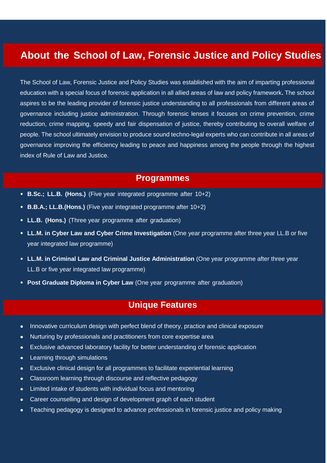### **About the School of Law, Forensic Justice and Policy Studies**

The School of Law, Forensic Justice and Policy Studies was established with the aim of imparting professional education with a special focus of forensic application in all allied areas of law and policy framework**.** The school aspires to be the leading provider of forensic justice understanding to all professionals from different areas of governance including justice administration. Through forensic lenses it focuses on crime prevention, crime reduction, crime mapping, speedy and fair dispensation of justice, thereby contributing to overall welfare of people. The school ultimately envision to produce sound techno-legal experts who can contribute in all areas of governance improving the efficiency leading to peace and happiness among the people through the highest index of Rule of Law and Justice.

#### **Programmes**

- **• B.Sc.; LL.B. (Hons.)** (Five year integrated programme after 10+2)
- **• B.B.A.; LL.B.(Hons.)** (Five year integrated programme after 10+2)
- **• LL.B. (Hons.)** (Three year programme after graduation)
- **• LL.M. in Cyber Law and Cyber Crime Investigation** (One year programme after three year LL.B or five year integrated law programme)
- **• LL.M. in Criminal Law and Criminal Justice Administration** (One year programme after three year LL.B or five year integrated law programme)
- **• Post Graduate Diploma in Cyber Law** (One year programme after graduation)

#### **Unique Features**

- Innovative curriculum design with perfect blend of theory, practice and clinical exposure
- Nurturing by professionals and practitioners from core expertise area
- Exclusive advanced laboratory facility for better understanding of forensic application
- Learning through simulations
- Exclusive clinical design for all programmes to facilitate experiential learning
- Classroom learning through discourse and reflective pedagogy
- Limited intake of students with individual focus and mentoring
- Career counselling and design of development graph of each student
- Teaching pedagogy is designed to advance professionals in forensic justice and policy making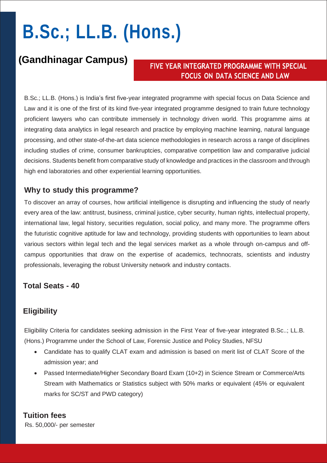# **B.Sc.; LL.B. (Hons.)**

### **(Gandhinagar Campus)**

#### FIVE YEAR INTEGRATED PROGRAMME WITH SPECIAL **FOCUS ON DATA SCIENCE AND LAW**

B.Sc.; LL.B. (Hons.) is India's first five-year integrated programme with special focus on Data Science and Law and it is one of the first of its kind five-year integrated programme designed to train future technology proficient lawyers who can contribute immensely in technology driven world. This programme aims at integrating data analytics in legal research and practice by employing machine learning, natural language processing, and other state-of-the-art data science methodologies in research across a range of disciplines including studies of crime, consumer bankruptcies, comparative competition law and comparative judicial decisions. Students benefit from comparative study of knowledge and practices in the classroom and through high end laboratories and other experiential learning opportunities.

#### **Why to study this programme?**

To discover an array of courses, how artificial intelligence is disrupting and influencing the study of nearly every area of the law: antitrust, business, criminal justice, cyber security, human rights, intellectual property, international law, legal history, securities regulation, social policy, and many more. The programme offers the futuristic cognitive aptitude for law and technology, providing students with opportunities to learn about various sectors within legal tech and the legal services market as a whole through on-campus and offcampus opportunities that draw on the expertise of academics, technocrats, scientists and industry professionals, leveraging the robust University network and industry contacts.

#### **Total Seats - 40**

#### **Eligibility**

Eligibility Criteria for candidates seeking admission in the First Year of five-year integrated B.Sc..; LL.B. (Hons.) Programme under the School of Law, Forensic Justice and Policy Studies, NFSU

- Candidate has to qualify CLAT exam and admission is based on merit list of CLAT Score of the admission year; and
- Passed Intermediate/Higher Secondary Board Exam (10+2) in Science Stream or Commerce/Arts Stream with Mathematics or Statistics subject with 50% marks or equivalent (45% or equivalent marks for SC/ST and PWD category)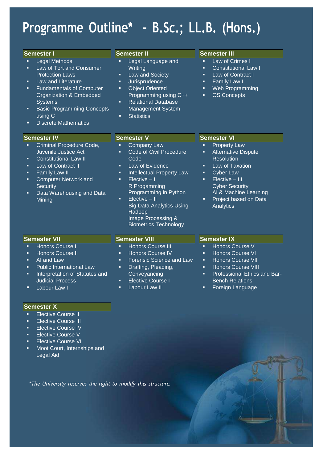## **Programme Outline\* - B.Sc.; LL.B. (Hons.)**

#### **Semester I**

- Legal Methods
- Law of Tort and Consumer Protection Laws
- Law and Literature
- Fundamentals of Computer Organization & Embedded **Systems**
- Basic Programming Concepts using C
- Discrete Mathematics

#### **Semester IV**

- Criminal Procedure Code, Juvenile Justice Act
- Constitutional Law II
- Law of Contract II
- Family Law II
- Computer Network and **Security**
- Data Warehousing and Data Mining

#### **Semester II**

- Legal Language and Writing
- **Law and Society**
- Jurisprudence
- Object Oriented Programming using C++
- Relational Database Management System
- **Statistics**

#### **Semester III**

- **Law of Crimes I**
- Constitutional Law I
- **Law of Contract I**
- Family Law I
- Web Programming
- **OS Concepts**

#### **Semester V**

- Company Law Code of Civil Procedure
- Code
- Law of Evidence
- Intellectual Property Law  $\blacksquare$  Elective – I R Progamming
- Programming in Python Elective – II
	- Image Processing & Biometrics Technology

### **Semester VI**

- Property Law **Alternative Dispute**
- **Resolution**
- Law of Taxation
- Cyber Law
- Elective III Cyber Security AI & Machine Learning
- Project based on Data Analytics

#### **Semester VII**

- Honors Course I
- Honors Course II
- AI and Law
- Public International Law
- Interpretation of Statutes and Judicial Process
- Labour Law I

#### **Semester X**

- Elective Course II
- Elective Course III
- Elective Course IV
- Elective Course V
- 
- Moot Court, Internships and Legal Aid

**Semester VIII**

- Honors Course III
- Honors Course IV
- Forensic Science and Law
- Drafting, Pleading,
- **Conveyancing**
- Elective Course I
- Labour Law II

#### **Semester IX**

- **Honors Course V**
- Honors Course VI
- **Honors Course VII**
- Honors Course VIII
- Professional Ethics and Bar-Bench Relations
- Foreign Language

- 
- 
- Elective Course VI
- 

- 
- Big Data Analytics Using Hadoop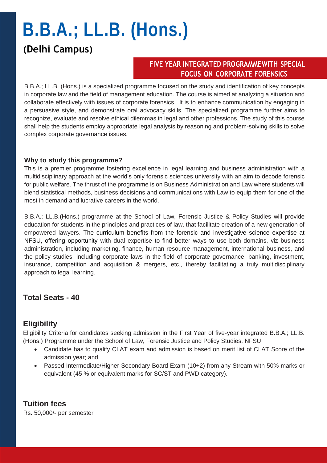# **B.B.A.; LL.B. (Hons.)**

## **(Delhi Campus)**

#### FIVE YEAR INTEGRATED PROGRAMMEWITH SPECIAL **FOCUS ON CORPORATE FORENSICS**

B.B.A.; LL.B. (Hons.) is a specialized programme focused on the study and identification of key concepts in corporate law and the field of management education. The course is aimed at analyzing a situation and collaborate effectively with issues of corporate forensics. It is to enhance communication by engaging in a persuasive style, and demonstrate oral advocacy skills. The specialized programme further aims to recognize, evaluate and resolve ethical dilemmas in legal and other professions. The study of this course shall help the students employ appropriate legal analysis by reasoning and problem-solving skills to solve complex corporate governance issues.

#### **Why to study this programme?**

This is a premier programme fostering excellence in legal learning and business administration with a multidisciplinary approach at the world's only forensic sciences university with an aim to decode forensic for public welfare. The thrust of the programme is on Business Administration and Law where students will blend statistical methods, business decisions and communications with Law to equip them for one of the most in demand and lucrative careers in the world.

B.B.A.; LL.B.(Hons.) programme at the School of Law, Forensic Justice & Policy Studies will provide education for students in the principles and practices of law, that facilitate creation of a new generation of empowered lawyers. The curriculum benefits from the forensic and investigative science expertise at NFSU, offering opportunity with dual expertise to find better ways to use both domains, viz business administration, including marketing, finance, human resource management, international business, and the policy studies, including corporate laws in the field of corporate governance, banking, investment, insurance, competition and acquisition & mergers, etc., thereby facilitating a truly multidisciplinary approach to legal learning.

#### **Total Seats - 40**

#### **Eligibility**

Eligibility Criteria for candidates seeking admission in the First Year of five-year integrated B.B.A.; LL.B. (Hons.) Programme under the School of Law, Forensic Justice and Policy Studies, NFSU

- Candidate has to qualify CLAT exam and admission is based on merit list of CLAT Score of the admission year; and
- Passed Intermediate/Higher Secondary Board Exam (10+2) from any Stream with 50% marks or equivalent (45 % or equivalent marks for SC/ST and PWD category).

**Tuition fees**  Rs. 50,000/- per semester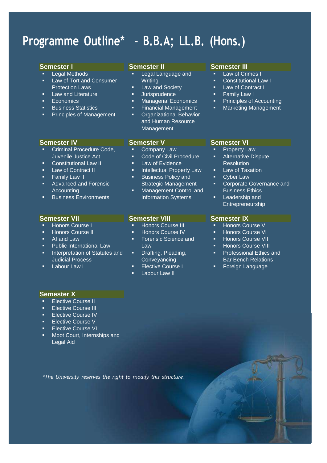## **Programme Outline\* - B.B.A; LL.B. (Hons.)**

#### **Semester I**

- Legal Methods
- Law of Tort and Consumer Protection Laws
- Law and Literature
- Economics
- **Business Statistics**
- **Principles of Management**

#### **Semester IV**

- Criminal Procedure Code, Juvenile Justice Act
- Constitutional Law II
- Law of Contract II
- Family Law II
- Advanced and Forensic **Accounting**
- Business Environments

#### **Semester VII**

- Honors Course I
- Honors Course II
- AI and Law
- Public International Law
- Interpretation of Statutes and Judicial Process
- Labour Law I

#### **Semester II**

- Legal Language and **Writing**
- Law and Society
- **Jurisprudence**
- Managerial Economics
- Financial Management **•** Organizational Behavior and Human Resource **Management**

#### **Semester V**

- Company Law
- Code of Civil Procedure
- Law of Evidence
- Intellectual Property Law Business Policy and
- Strategic Management Management Control and Information Systems

#### **Semester VIII**

- Honors Course III
- **Honors Course IV**
- Forensic Science and Law
- Drafting, Pleading, **Conveyancing**
- Elective Course I
- Labour Law II

#### **Semester III**

- Law of Crimes I
- Constitutional Law I
- Law of Contract I
- Family Law I
- **Principles of Accounting** Marketing Management
- 
- **Semester VI**  Property Law
- Alternative Dispute **Resolution**
- Law of Taxation
- **Cyber Law**
- Corporate Governance and Business Ethics
- Leadership and Entrepreneurship

#### **Semester IX**

- Honors Course V
- Honors Course VI
- Honors Course VII
- Honors Course VIII
- Professional Ethics and Bar Bench Relations
- **Foreign Language**

#### **Semester X**

- Elective Course II
- Elective Course III
- Elective Course IV
- Elective Course V
- Elective Course VI
- Moot Court, Internships and Legal Aid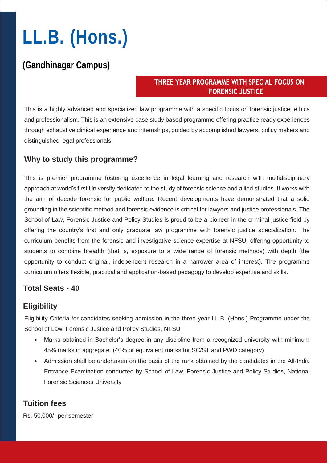# **LL.B. (Hons.)**

### **(Gandhinagar Campus)**

#### THREE YEAR PROGRAMME WITH SPECIAL FOCUS ON **FORENSIC JUSTICE**

This is a highly advanced and specialized law programme with a specific focus on forensic justice, ethics and professionalism. This is an extensive case study based programme offering practice ready experiences through exhaustive clinical experience and internships, guided by accomplished lawyers, policy makers and distinguished legal professionals.

#### **Why to study this programme?**

This is premier programme fostering excellence in legal learning and research with multidisciplinary approach at world's first University dedicated to the study of forensic science and allied studies. It works with the aim of decode forensic for public welfare. Recent developments have demonstrated that a solid grounding in the scientific method and forensic evidence is critical for lawyers and justice professionals. The School of Law, Forensic Justice and Policy Studies is proud to be a pioneer in the criminal justice field by offering the country's first and only graduate law programme with forensic justice specialization. The curriculum benefits from the forensic and investigative science expertise at NFSU, offering opportunity to students to combine breadth (that is, exposure to a wide range of forensic methods) with depth (the opportunity to conduct original, independent research in a narrower area of interest). The programme curriculum offers flexible, practical and application-based pedagogy to develop expertise and skills.

#### **Total Seats - 40**

#### **Eligibility**

Eligibility Criteria for candidates seeking admission in the three year LL.B. (Hons.) Programme under the School of Law, Forensic Justice and Policy Studies, NFSU

- Marks obtained in Bachelor's degree in any discipline from a recognized university with minimum 45% marks in aggregate. (40% or equivalent marks for SC/ST and PWD category)
- Admission shall be undertaken on the basis of the rank obtained by the candidates in the All-India Entrance Examination conducted by School of Law, Forensic Justice and Policy Studies, National Forensic Sciences University

#### **Tuition fees**

Rs. 50,000/- per semester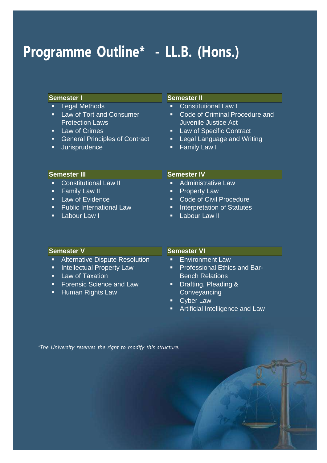## **Programme Outline\* - LL.B. (Hons.)**

#### **Semester I**

- **Legal Methods**
- **Law of Tort and Consumer** Protection Laws
- **Law of Crimes**
- **General Principles of Contract**
- **Jurisprudence**

#### **Semester II**

- **Constitutional Law I**
- **Code of Criminal Procedure and** Juvenile Justice Act
- **Law of Specific Contract**
- **E** Legal Language and Writing
- **Family Law I**

#### **Semester III**

- **Constitutional Law II**
- **Family Law II**
- **Law of Evidence**
- **Public International Law**
- **Labour Law I**

#### **Semester IV**

- **Administrative Law**
- **Property Law**
- **Code of Civil Procedure**
- **Interpretation of Statutes**
- **Labour Law II**

| <b>Semester V</b>                | <b>Semester VI</b>             |
|----------------------------------|--------------------------------|
| • Alternative Dispute Resolution | <b>Environment Law</b><br>п    |
| Intellectual Property Law<br>п,  | • Professional Ethics and Bar- |
| <b>Law of Taxation</b><br>Æ7     | <b>Bench Relations</b>         |
| • Forensic Science and Law       | Drafting, Pleading &<br>О      |
| • Human Rights Law               | Conveyancing                   |
|                                  | <b>Cyber Law</b><br>о          |

**EXEC** Artificial Intelligence and Law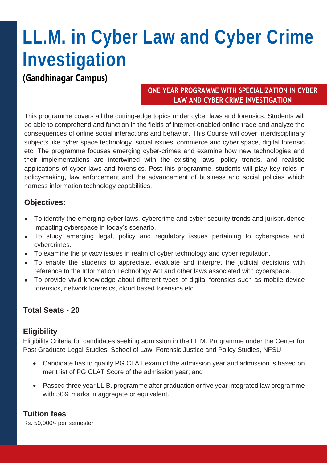## **LL.M. in Cyber Law and Cyber Crime Investigation**

**(Gandhinagar Campus)**

#### ONE YEAR PROGRAMME WITH SPECIALIZATION IN CYBER **LAW AND CYBER CRIME INVESTIGATION**

This programme covers all the cutting-edge topics under cyber laws and forensics. Students will be able to comprehend and function in the fields of internet-enabled online trade and analyze the consequences of online social interactions and behavior. This Course will cover interdisciplinary subjects like cyber space technology, social issues, commerce and cyber space, digital forensic etc. The programme focuses emerging cyber-crimes and examine how new technologies and their implementations are intertwined with the existing laws, policy trends, and realistic applications of cyber laws and forensics. Post this programme, students will play key roles in policy-making, law enforcement and the advancement of business and social policies which harness information technology capabilities.

#### **Objectives:**

- To identify the emerging cyber laws, cybercrime and cyber security trends and jurisprudence impacting cyberspace in today's scenario.
- To study emerging legal, policy and regulatory issues pertaining to cyberspace and cybercrimes.
- To examine the privacy issues in realm of cyber technology and cyber regulation.
- To enable the students to appreciate, evaluate and interpret the judicial decisions with reference to the Information Technology Act and other laws associated with cyberspace.
- To provide vivid knowledge about different types of digital forensics such as mobile device forensics, network forensics, cloud based forensics etc.

#### **Total Seats - 20**

#### **Eligibility**

Eligibility Criteria for candidates seeking admission in the LL.M. Programme under the Center for Post Graduate Legal Studies, School of Law, Forensic Justice and Policy Studies, NFSU

- Candidate has to qualify PG CLAT exam of the admission year and admission is based on merit list of PG CLAT Score of the admission year; and
- Passed three year LL.B. programme after graduation or five year integrated law programme with 50% marks in aggregate or equivalent.

#### **Tuition fees**

Rs. 50,000/- per semester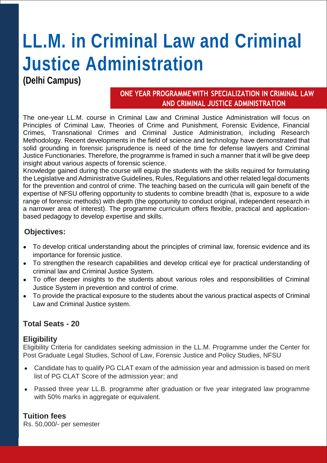## **LL.M. in Criminal Law and Criminal Justice Administration**

### **(Delhi Campus)**

#### ONE YEAR PROGRAMME WITH SPECIALIZATION IN CRIMINAL LAW AND CRIMINAL JUSTICE ADMINISTRATION

The one-year LL.M. course in Criminal Law and Criminal Justice Administration will focus on Principles of Criminal Law, Theories of Crime and Punishment, Forensic Evidence, Financial Crimes, Transnational Crimes and Criminal Justice Administration, including Research Methodology. Recent developments in the field of science and technology have demonstrated that solid grounding in forensic jurisprudence is need of the time for defense lawyers and Criminal Justice Functionaries. Therefore, the programme is framed in such a manner that it will be give deep insight about various aspects of forensic science.

Knowledge gained during the course will equip the students with the skills required for formulating the Legislative and Administrative Guidelines, Rules, Regulations and other related legal documents for the prevention and control of crime. The teaching based on the curricula will gain benefit of the expertise of NFSU offering opportunity to students to combine breadth (that is, exposure to a wide range of forensic methods) with depth (the opportunity to conduct original, independent research in a narrower area of interest). The programme curriculum offers flexible, practical and applicationbased pedagogy to develop expertise and skills.

#### **Objectives:**

- To develop critical understanding about the principles of criminal law, forensic evidence and its importance for forensic justice.
- To strengthen the research capabilities and develop critical eye for practical understanding of criminal law and Criminal Justice System.
- To offer deeper insights to the students about various roles and responsibilities of Criminal Justice System in prevention and control of crime.
- To provide the practical exposure to the students about the various practical aspects of Criminal Law and Criminal Justice system.

#### **Total Seats - 20**

#### **Eligibility**

Eligibility Criteria for candidates seeking admission in the LL.M. Programme under the Center for Post Graduate Legal Studies, School of Law, Forensic Justice and Policy Studies, NFSU

- Candidate has to qualify PG CLAT exam of the admission year and admission is based on merit list of PG CLAT Score of the admission year; and
- Passed three year LL.B. programme after graduation or five year integrated law programme with 50% marks in aggregate or equivalent.

#### **Tuition fees**

Rs. 50,000/- per semester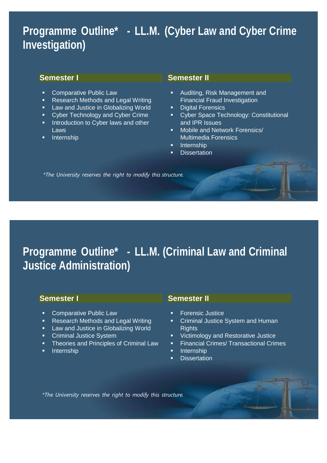## **Programme Outline\* - LL.M. (Cyber Law and Cyber Crime Investigation)**

#### **Semester I**

- **Comparative Public Law**
- **Research Methods and Legal Writing**
- **Law and Justice in Globalizing World**
- Cyber Technology and Cyber Crime
- **Introduction to Cyber laws and other** Laws
- Internship

#### **Semester II**

- Auditing, Risk Management and Financial Fraud Investigation
- Digital Forensics
- **Cyber Space Technology: Constitutional** and IPR Issues
- **Mobile and Network Forensics**/ Multimedia Forensics
- **Internship**
- **Dissertation**

*\*The University reserves the right to modify this structure.*

## **Programme Outline\* - LL.M. (Criminal Law and Criminal Justice Administration)**

#### **Semester I**

- **Comparative Public Law**
- **Research Methods and Legal Writing**
- **Law and Justice in Globalizing World**
- **Criminal Justice System**
- **Theories and Principles of Criminal Law**
- Internship

#### **Semester II**

- Forensic Justice
- Criminal Justice System and Human **Rights**
- Victimology and Restorative Justice
- **Financial Crimes/ Transactional Crimes**
- **Internship**
- **Dissertation**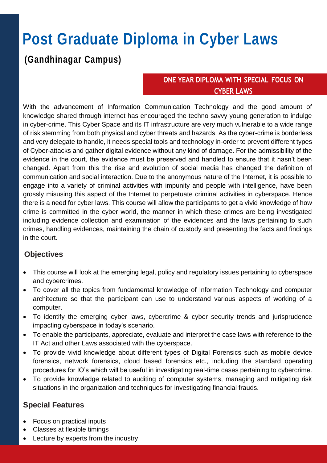## **Post Graduate Diploma in Cyber Laws**

### **(Gandhinagar Campus)**

#### ONE YEAR DIPLOMA WITH SPECIAL FOCUS ON **CYBER LAWS**

With the advancement of Information Communication Technology and the good amount of knowledge shared through internet has encouraged the techno savvy young generation to indulge in cyber-crime. This Cyber Space and its IT infrastructure are very much vulnerable to a wide range of risk stemming from both physical and cyber threats and hazards. As the cyber-crime is borderless and very delegate to handle, it needs special tools and technology in-order to prevent different types of Cyber-attacks and gather digital evidence without any kind of damage. For the admissibility of the evidence in the court, the evidence must be preserved and handled to ensure that it hasn't been changed. Apart from this the rise and evolution of social media has changed the definition of communication and social interaction. Due to the anonymous nature of the Internet, it is possible to engage into a variety of criminal activities with impunity and people with intelligence, have been grossly misusing this aspect of the Internet to perpetuate criminal activities in cyberspace. Hence there is a need for cyber laws. This course will allow the participants to get a vivid knowledge of how crime is committed in the cyber world, the manner in which these crimes are being investigated including evidence collection and examination of the evidences and the laws pertaining to such crimes, handling evidences, maintaining the chain of custody and presenting the facts and findings in the court.

#### **Objectives**

- This course will look at the emerging legal, policy and regulatory issues pertaining to cyberspace and cybercrimes.
- To cover all the topics from fundamental knowledge of Information Technology and computer architecture so that the participant can use to understand various aspects of working of a computer.
- To identify the emerging cyber laws, cybercrime & cyber security trends and jurisprudence impacting cyberspace in today's scenario.
- To enable the participants, appreciate, evaluate and interpret the case laws with reference to the IT Act and other Laws associated with the cyberspace.
- To provide vivid knowledge about different types of Digital Forensics such as mobile device forensics, network forensics, cloud based forensics etc., including the standard operating procedures for IO's which will be useful in investigating real-time cases pertaining to cybercrime.
- To provide knowledge related to auditing of computer systems, managing and mitigating risk situations in the organization and techniques for investigating financial frauds.

#### **Special Features**

- Focus on practical inputs
- Classes at flexible timings
- Lecture by experts from the industry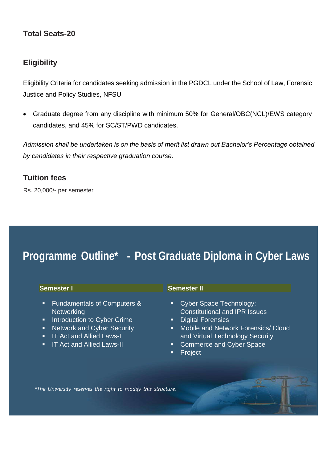#### **Total Seats-20**

#### **Eligibility**

Eligibility Criteria for candidates seeking admission in the PGDCL under the School of Law, Forensic Justice and Policy Studies, NFSU

 Graduate degree from any discipline with minimum 50% for General/OBC(NCL)/EWS category candidates, and 45% for SC/ST/PWD candidates.

*Admission shall be undertaken is on the basis of merit list drawn out Bachelor's Percentage obtained by candidates in their respective graduation course.* 

#### **Tuition fees**

Rs. 20,000/- per semester

## **Programme Outline\* - Post Graduate Diploma in Cyber Laws**

| <b>Semester I</b>                      | <b>Semester II</b>                   |
|----------------------------------------|--------------------------------------|
| <b>Fundamentals of Computers &amp;</b> | Cyber Space Technology:              |
| п                                      | ш                                    |
| Networking                             | <b>Constitutional and IPR Issues</b> |
| Introduction to Cyber Crime            | <b>Digital Forensics</b>             |
| п                                      | σ                                    |
| Network and Cyber Security             | Mobile and Network Forensics/ Cloud  |
| п                                      | D.                                   |
| <b>IT Act and Allied Laws-I</b>        | and Virtual Technology Security      |
| п                                      | <b>Commerce and Cyber Space</b>      |
| <b>IT Act and Allied Laws-II</b>       | ш                                    |
| п.                                     | Project                              |